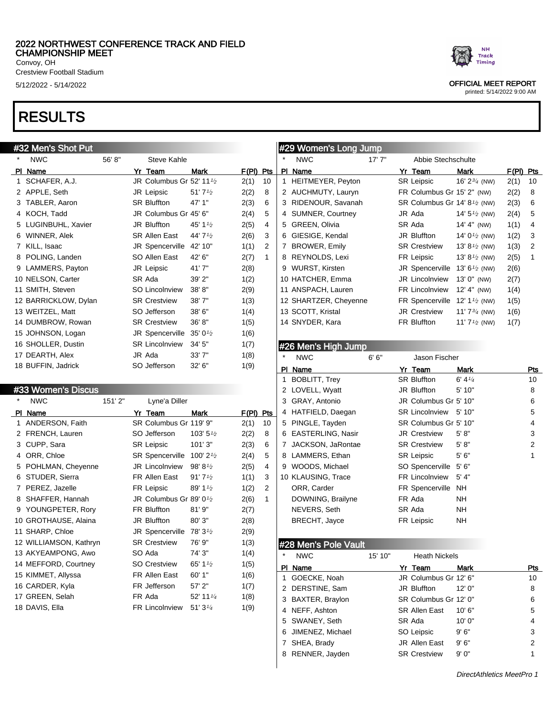#### 2022 NORTHWEST CONFERENCE TRACK AND FIELD CHAMPIONSHIP MEET Convoy, OH

Crestview Football Stadium

# RESULTS

#### #32 Men's Shot Put NWC 56' 8" Steve Kahle Pl Name Yr Team Mark F(Pl) Pts 1 SCHAFER, A.J. JR Columbus Gr 52' 11 $\frac{1}{2}$  2(1) 10 2 APPLE, Seth JR Leipsic 51' 7<sup>1</sup>/<sub>2</sub> 2(2) 8 3 TABLER, Aaron SR Bluffton 47' 1" 2(3) 6 4 KOCH, Tadd JR Columbus Gr 45' 6" 2(4) 5 5 LUGINBUHL, Xavier  $JR$  Bluffton  $45'$  1<sup>1</sup>/<sub>2</sub> 2(5) 4 6 WINNER, Alek SR Allen East 44' 7<sup>1</sup>/<sub>2</sub> 2(6) 3 7 KILL, Isaac JR Spencerville 42' 10" 1(1) 2 8 POLING, Landen SO Allen East 42' 6" 2(7) 1 9 LAMMERS, Payton JR Leipsic 41' 7" 2(8) 10 NELSON, Carter SR Ada 39' 2" 1(2) 11 SMITH, Steven SO Lincolnview 38' 8" 2(9) 12 BARRICKLOW, Dylan SR Crestview 38' 7" 1(3) 13 WEITZEL, Matt SO Jefferson 38' 6" 1(4) 14 DUMBROW, Rowan SR Crestview 36' 8" 1(5) 15 JOHNSON, Logan JR Spencerville  $35' 0<sup>1/2</sup>$  1(6) 16 SHOLLER, Dustin SR Lincolnview 34' 5" 1(7) 17 DEARTH, Alex JR Ada 33' 7" 1(8) 18 BUFFIN, Jadrick SO Jefferson 32' 6" 1(9) #33 Women's Discus NWC 151' 2" Lyne'a Diller PI Name **Yr Team** Mark F(PI) Pts 1 ANDERSON, Faith SR Columbus Gr 119' 9" 2(1) 10 2 FRENCH, Lauren  $SO\ \text{Jefferson}$  103'  $5\frac{1}{2}$  2(2) 8 3 CUPP, Sara SR Leipsic 101' 3" 2(3) 6 4 ORR, Chloe SR Spencerville  $100' 2<sup>1</sup>2$   $2(4)$  5 5 POHLMAN, Cheyenne JR Lincolnview 98'81/2 2(5) 4 6 STUDER, Sierra **FR** Allen East  $91'7'2$  1(1) 3 7 PEREZ, Jazelle  $R$  Leipsic 89' 1<sup>1/2</sup> 1(2) 2 8 SHAFFER, Hannah  $JR$  Columbus Gr 89' 0<sup>1/2</sup> 2(6) 1 #29 Women's Long Jump NWC 17' 7" Abbie Stechschulte Pl Name Yr Team Mark F(Pl) Pts 1 HEITMEYER, Peyton SR Leipsic 16' 23/4 (NW) 2(1) 10 2 AUCHMUTY, Lauryn FR Columbus Gr 15' 2" (NW) 2(2) 8 3 RIDENOUR, Savanah SR Columbus Gr 14' 8<sup>1</sup>/2 (NW) 2(3) 6 4 SUMNER, Courtney JR Ada 14' 5<sup>1</sup>/2 (NW) 2(4) 5 5 GREEN, Olivia **SR Ada** 14' 4" (NW) 1(1) 4 6 GIESIGE, Kendal JR Bluffton 14' 01/2 (NW) 1(2) 3 7 BROWER, Emily SR Crestview 13'8<sup>1/2</sup> (NW) 1(3) 2 8 REYNOLDS, Lexi FR Leipsic 13' 81/2 (NW) 2(5) 1 9 WURST, Kirsten JR Spencerville 13' 6<sup>1/2</sup> (NW) 2(6) 10 HATCHER, Emma JR Lincolnview 13' 0" (NW) 2(7) 11 ANSPACH, Lauren FR Lincolnview 12' 4" (NW) 1(4) 12 SHARTZER, Cheyenne FR Spencerville 12' 11/2 (NW) 1(5) 13 SCOTT, Kristal **JR Crestview** 11' 7<sup>3</sup>/<sub>4</sub> (NW) 1(6) 14 SNYDER, Kara FR Bluffton 11' 71/2 (NW) 1(7) #26 Men's High Jump NWC 6' 6" Jason Fischer PI Name **Yr Team** Mark Pts 1 BOBLITT, Trey SR Bluffton 6' 4<sup>1/4</sup> 10 2 LOVELL, Wyatt **JR Bluffton** 5' 10" 8 3 GRAY, Antonio JR Columbus Gr 5' 10" 6 4 HATFIELD, Daegan SR Lincolnview 5' 10" 5 5 PINGLE, Tayden SR Columbus Gr 5' 10" 4 6 EASTERLING, Nasir JR Crestview 5' 8" 3 7 JACKSON, JaRontae SR Crestview 5' 8" 2 8 LAMMERS, Ethan SR Leipsic 5' 6" 1 9 WOODS, Michael SO Spencerville 5' 6" 10 KLAUSING, Trace FR Lincolnview 5' 4" ORR, Carder FR Spencerville NH DOWNING, Brailyne FR Ada NH NEVERS, Seth SR Ada NH

9 YOUNGPETER, Rory FR Bluffton 81' 9" 2(7) 10 GROTHAUSE, Alaina JR Bluffton 80' 3" 2(8) 11 SHARP, Chloe  $JR$  Spencerville  $78'$   $31/2$   $2(9)$ 12 WILLIAMSON, Kathryn SR Crestview 76' 9" 1(3) 13 AKYEAMPONG, Awo SO Ada 74' 3" 1(4) 14 MEFFORD, Courtney SO Crestview 65' 1<sup>1</sup>/<sub>2</sub> 1(5) 15 KIMMET, Allyssa FR Allen East 60' 1" 1(6) 16 CARDER, Kyla **FR** Jefferson 57' 2" 1(7) 17 GREEN, Selah **FR Ada** 52' 11<sup>1</sup>/<sub>4</sub> 1(8)

18 DAVIS, Ella  $F$ R Lincolnview  $51'3^{1/4}$  1(9)



5/12/2022 - 5/14/2022 OFFICIAL MEET REPORT

printed: 5/14/2022 9:00 AM

#### #28 Men's Pole Vault

| $\star$ | <b>NWC</b>        | 15' 10" | <b>Heath Nickels</b>  |         |     |
|---------|-------------------|---------|-----------------------|---------|-----|
| ΡI      | Name              |         | Yr Team               | Mark    | Pts |
|         | GOECKE, Noah      |         | JR Columbus Gr 12' 6" |         | 10  |
|         | 2 DERSTINE, Sam   |         | JR Bluffton           | 12'0''  | 8   |
|         | 3 BAXTER, Braylon |         | SR Columbus Gr 12' 0" |         | 6   |
|         | NEFF, Ashton      |         | <b>SR Allen East</b>  | 10' 6'' | 5   |
|         | 5 SWANEY, Seth    |         | SR Ada                | 10'0''  | 4   |
| 6       | JIMENEZ, Michael  |         | SO Leipsic            | 9'6''   | 3   |
|         | SHEA, Brady       |         | <b>JR</b> Allen Fast  | 9'6''   | 2   |
| 8       | RENNER, Jayden    |         | <b>SR Crestview</b>   | 9'0''   |     |
|         |                   |         |                       |         |     |

BRECHT, Jayce FR Leipsic NH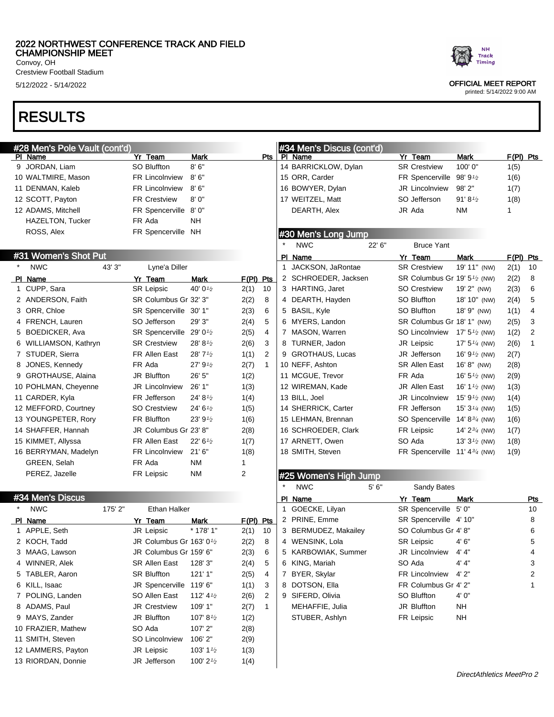### 2022 NORTHWEST CONFERENCE TRACK AND FIELD CHAMPIONSHIP MEET

Convoy, OH Crestview Football Stadium

# RESULTS

# #28 Men's Pole Vault (cont'd)

|   | PI Name               | Yr Team                               | Mark                 |             | Pts | PI Name               |        | Yr Team                                               | <b>Mark</b>                      | $F(PI)$ Pts |              |
|---|-----------------------|---------------------------------------|----------------------|-------------|-----|-----------------------|--------|-------------------------------------------------------|----------------------------------|-------------|--------------|
|   | 9 JORDAN, Liam        | <b>SO Bluffton</b>                    | 8'6''                |             |     | 14 BARRICKLOW, Dylan  |        | <b>SR Crestview</b>                                   | 100' 0"                          | 1(5)        |              |
|   | 10 WALTMIRE, Mason    | <b>FR Lincolnview</b>                 | 8'6''                |             |     | 15 ORR, Carder        |        | FR Spencerville 98' 9 <sup>1</sup> /2                 |                                  | 1(6)        |              |
|   | 11 DENMAN, Kaleb      | <b>FR Lincolnview</b>                 | 8'6''                |             |     | 16 BOWYER, Dylan      |        | JR Lincolnview                                        | 98'2"                            | 1(7)        |              |
|   | 12 SCOTT, Payton      | <b>FR Crestview</b>                   | 8'0''                |             |     | 17 WEITZEL, Matt      |        | SO Jefferson                                          | 91'8 <sup><math>1/2</math></sup> | 1(8)        |              |
|   | 12 ADAMS, Mitchell    | FR Spencerville 8' 0"                 |                      |             |     | DEARTH, Alex          |        | JR Ada                                                | <b>NM</b>                        |             |              |
|   | HAZELTON, Tucker      | FR Ada                                | <b>NH</b>            |             |     |                       |        |                                                       |                                  |             |              |
|   | ROSS, Alex            | FR Spencerville NH                    |                      |             |     | #30 Men's Long Jump   |        |                                                       |                                  |             |              |
|   |                       |                                       |                      |             |     | <b>NWC</b>            | 22' 6" | <b>Bruce Yant</b>                                     |                                  |             |              |
|   | #31 Women's Shot Put  |                                       |                      |             |     | PI Name               |        | Yr Team                                               | <b>Mark</b>                      | $F(PI)$ Pts |              |
|   | <b>NWC</b><br>43' 3"  | Lyne'a Diller                         |                      |             |     | 1 JACKSON, JaRontae   |        | <b>SR Crestview</b>                                   | 19' 11" (NW)                     | 2(1)        | 10           |
|   | PI Name               | Yr Team                               | <b>Mark</b>          | $F(PI)$ Pts |     | 2 SCHROEDER, Jacksen  |        | SR Columbus Gr 19' 5 <sup>1</sup> / <sub>2</sub> (NW) |                                  | 2(2)        | 8            |
|   | 1 CUPP, Sara          | <b>SR Leipsic</b>                     | 40' 01/2             | 2(1)        | 10  | 3 HARTING, Jaret      |        | SO Crestview                                          | 19' 2" (NW)                      | 2(3)        | 6            |
|   | 2 ANDERSON, Faith     | SR Columbus Gr 32' 3"                 |                      | 2(2)        | 8   | 4 DEARTH, Hayden      |        | SO Bluffton                                           | 18' 10" (NW)                     | 2(4)        | 5            |
|   | ORR, Chloe            | SR Spencerville 30' 1"                |                      | 2(3)        | 6   | 5 BASIL, Kyle         |        | SO Bluffton                                           | 18' 9" (NW)                      | 1(1)        | 4            |
| 4 | FRENCH, Lauren        | SO Jefferson                          | 29' 3"               | 2(4)        | 5   | 6 MYERS, Landon       |        | SR Columbus Gr 18' 1" (NW)                            |                                  | 2(5)        | 3            |
|   | <b>BOEDICKER, Ava</b> | SR Spencerville 29' 0 <sup>1</sup> /2 |                      | 2(5)        | 4   | 7 MASON, Warren       |        | SO Lincolnview $17' 5'$ (NW)                          |                                  | 1(2)        | 2            |
| 6 | WILLIAMSON, Kathryn   | <b>SR Crestview</b>                   | 28' 8 $\frac{1}{2}$  | 2(6)        | 3   | 8 TURNER, Jadon       |        | JR Leipsic                                            | 17' $5\frac{1}{4}$ (NW)          | 2(6)        | $\mathbf{1}$ |
|   | 7 STUDER, Sierra      | FR Allen East                         | 28'7'2               | 1(1)        | 2   | 9 GROTHAUS, Lucas     |        | JR Jefferson                                          | 16' $9\frac{1}{2}$ (NW)          | 2(7)        |              |
| 8 | JONES, Kennedy        | FR Ada                                | 27'9'2               | 2(7)        | -1  | 10 NEFF, Ashton       |        | <b>SR Allen East</b>                                  | 16' 8" (NW)                      | 2(8)        |              |
| 9 | GROTHAUSE, Alaina     | JR Bluffton                           | 26' 5"               | 1(2)        |     | 11 MCGUE, Trevor      |        | FR Ada                                                | 16' $5\frac{1}{2}$ (NW)          | 2(9)        |              |
|   | 10 POHLMAN, Cheyenne  | <b>JR Lincolnview</b>                 | 26' 1"               | 1(3)        |     | 12 WIREMAN, Kade      |        | JR Allen East                                         | 16' $1\frac{1}{2}$ (NW)          | 1(3)        |              |
|   | 11 CARDER, Kyla       | FR Jefferson                          | 24' 81/2             | 1(4)        |     | 13 BILL, Joel         |        | JR Lincolnview                                        | 15' $9\frac{1}{2}$ (NW)          | 1(4)        |              |
|   | 12 MEFFORD, Courtney  | <b>SO Crestview</b>                   | 24' $6\frac{1}{2}$   | 1(5)        |     | 14 SHERRICK, Carter   |        | FR Jefferson                                          | 15' $3\frac{1}{4}$ (NW)          | 1(5)        |              |
|   | 13 YOUNGPETER, Rory   | FR Bluffton                           | 23' $91/2$           | 1(6)        |     | 15 LEHMAN, Brennan    |        | SO Spencerville 14' 8 <sup>3/4</sup> (NW)             |                                  | 1(6)        |              |
|   | 14 SHAFFER, Hannah    | JR Columbus Gr 23' 8"                 |                      | 2(8)        |     | 16 SCHROEDER, Clark   |        | FR Leipsic                                            | 14' $2^{3/4}$ (NW)               | 1(7)        |              |
|   | 15 KIMMET, Allyssa    | FR Allen East                         | 22' 6'' <sub>2</sub> | 1(7)        |     | 17 ARNETT, Owen       |        | SO Ada                                                | 13' $3\frac{1}{2}$ (NW)          | 1(8)        |              |
|   | 16 BERRYMAN, Madelyn  | FR Lincolnview                        | 21'6''               | 1(8)        |     | 18 SMITH, Steven      |        | FR Spencerville $11' 4^{3/4}$ (NW)                    |                                  | 1(9)        |              |
|   | GREEN, Selah          | FR Ada                                | <b>NM</b>            | 1           |     |                       |        |                                                       |                                  |             |              |
|   | PEREZ, Jazelle        | FR Leipsic                            | <b>NM</b>            | 2           |     | #25 Women's High Jump |        |                                                       |                                  |             |              |
|   |                       |                                       |                      |             |     |                       |        |                                                       |                                  |             |              |

#34 Men's Discus (cont'd)

\* NWC 5'6" Sandy Bates

9 SIFERD, Olivia SO Bluffton 4' 0" MEHAFFIE, Julia JR Bluffton NH STUBER, Ashlyn FR Leipsic NH

PI Name **Yr Team** Mark Pts 1 GOECKE, Lilyan SR Spencerville 5' 0" 10 2 PRINE, Emme SR Spencerville 4' 10" 8 3 BERMUDEZ, Makailey SO Columbus Gr 4' 8" 6 4 WENSINK, Lola SR Leipsic 4' 6" 5 5 KARBOWIAK, Summer JR Lincolnview 4' 4" 4" 6 KING, Mariah SO Ada 4' 4" 3 7 BYER, Skylar FR Lincolnview 4' 2" 2 8 DOTSON, Ella FR Columbus Gr 4' 2" 1

#### #34 Men's Discus

| *   | <b>NWC</b>         | 175' 2" | Ethan Halker                        |                                    |       |     |
|-----|--------------------|---------|-------------------------------------|------------------------------------|-------|-----|
| PI. | Name               |         | Yr Team                             | Mark                               | F(PI) | Pts |
| 1   | APPLE, Seth        |         | JR Leipsic                          | * 178' 1"                          | 2(1)  | 10  |
|     | 2 KOCH, Tadd       |         | JR Columbus Gr 163' 0 $\frac{1}{2}$ |                                    | 2(2)  | 8   |
| 3   | MAAG, Lawson       |         | JR Columbus Gr 159' 6"              |                                    | 2(3)  | 6   |
| 4   | WINNER, Alek       |         | <b>SR Allen East</b>                | 128' 3"                            | 2(4)  | 5   |
|     | 5 TABLER, Aaron    |         | <b>SR Bluffton</b>                  | 121'1''                            | 2(5)  | 4   |
| 6   | KILL, Isaac        |         | JR Spencerville                     | 119'6"                             | 1(1)  | 3   |
|     | 7 POLING, Landen   |         | SO Allen East                       | 112' 4 <sup>1</sup> / <sub>2</sub> | 2(6)  | 2   |
| 8   | ADAMS, Paul        |         | <b>JR Crestview</b>                 | 109' 1"                            | 2(7)  | 1   |
| 9   | MAYS, Zander       |         | <b>JR Bluffton</b>                  | 107' 8 $\frac{1}{2}$               | 1(2)  |     |
|     | 10 FRAZIER, Mathew |         | SO Ada                              | 107' 2"                            | 2(8)  |     |
|     | 11 SMITH, Steven   |         | SO Lincolnview                      | 106'2"                             | 2(9)  |     |
|     | 12 LAMMERS, Payton |         | JR Leipsic                          | 103' 1 $\frac{1}{2}$               | 1(3)  |     |
|     | 13 RIORDAN, Donnie |         | JR Jefferson                        | 100' $2\frac{1}{2}$                | 1(4)  |     |



#### 5/12/2022 - 5/14/2022 OFFICIAL MEET REPORT

printed: 5/14/2022 9:00 AM